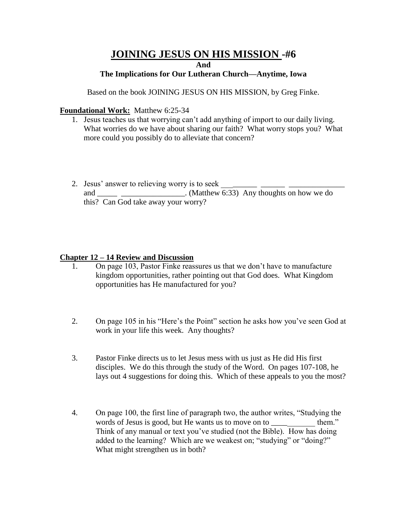# **JOINING JESUS ON HIS MISSION -#6**

**And**

### **The Implications for Our Lutheran Church—Anytime, Iowa**

Based on the book JOINING JESUS ON HIS MISSION, by Greg Finke.

### **Foundational Work:** Matthew 6:25-34

- 1. Jesus teaches us that worrying can't add anything of import to our daily living. What worries do we have about sharing our faith? What worry stops you? What more could you possibly do to alleviate that concern?
- 2. Jesus' answer to relieving worry is to seek \_\_\_\_\_\_\_\_\_\_\_\_\_\_\_\_\_\_\_\_\_\_\_\_\_\_\_\_\_\_\_\_\_ and \_\_\_\_\_ \_\_\_\_\_\_\_\_\_\_\_\_\_\_\_\_. (Matthew 6:33) Any thoughts on how we do this? Can God take away your worry?

### **Chapter 12 – 14 Review and Discussion**

- 1. On page 103, Pastor Finke reassures us that we don't have to manufacture kingdom opportunities, rather pointing out that God does. What Kingdom opportunities has He manufactured for you?
- 2. On page 105 in his "Here's the Point" section he asks how you've seen God at work in your life this week. Any thoughts?
- 3. Pastor Finke directs us to let Jesus mess with us just as He did His first disciples. We do this through the study of the Word. On pages 107-108, he lays out 4 suggestions for doing this. Which of these appeals to you the most?
- 4. On page 100, the first line of paragraph two, the author writes, "Studying the words of Jesus is good, but He wants us to move on to \_\_\_\_\_\_\_\_\_\_\_ them." Think of any manual or text you've studied (not the Bible). How has doing added to the learning? Which are we weakest on; "studying" or "doing?" What might strengthen us in both?